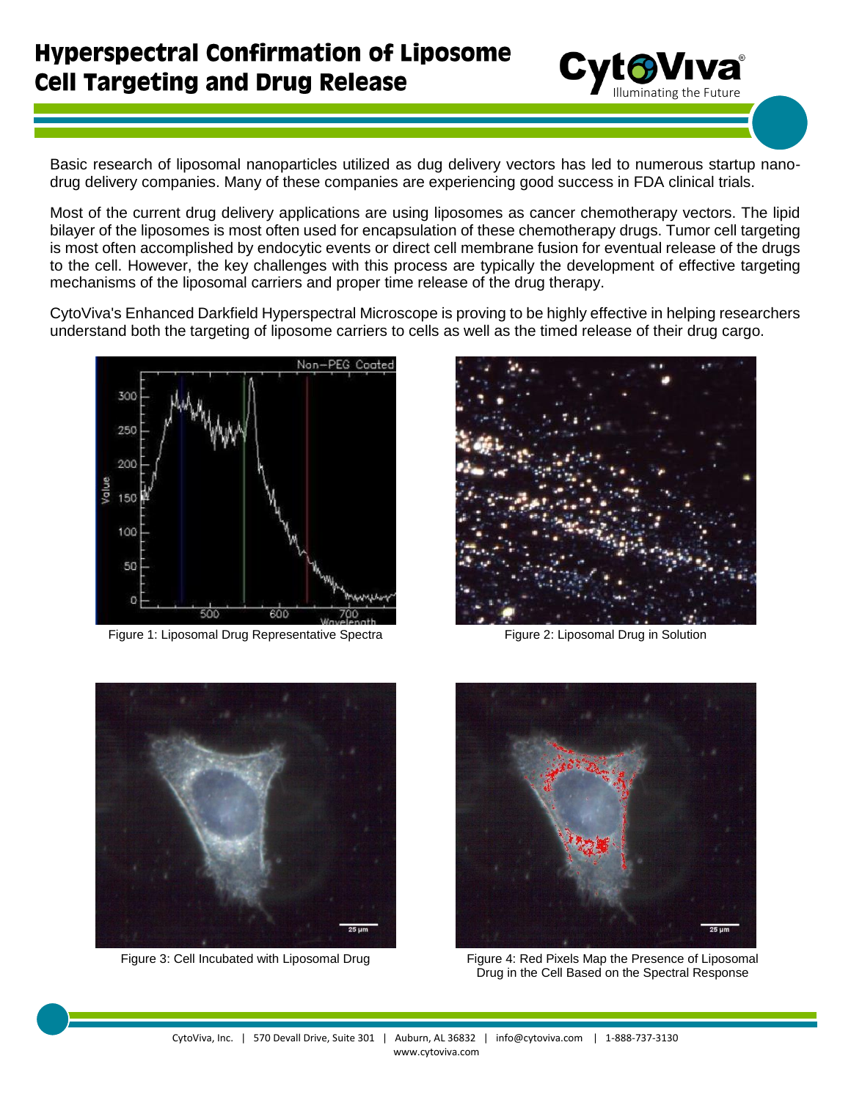

Basic research of liposomal nanoparticles utilized as dug delivery vectors has led to numerous startup nanodrug delivery companies. Many of these companies are experiencing good success in FDA clinical trials.

Most of the current drug delivery applications are using liposomes as cancer chemotherapy vectors. The lipid bilayer of the liposomes is most often used for encapsulation of these chemotherapy drugs. Tumor cell targeting is most often accomplished by endocytic events or direct cell membrane fusion for eventual release of the drugs to the cell. However, the key challenges with this process are typically the development of effective targeting mechanisms of the liposomal carriers and proper time release of the drug therapy.

CytoViva's Enhanced Darkfield Hyperspectral Microscope is proving to be highly effective in helping researchers understand both the targeting of liposome carriers to cells as well as the timed release of their drug cargo.



Figure 1: Liposomal Drug Representative Spectra Figure 2: Liposomal Drug in Solution







Figure 3: Cell Incubated with Liposomal Drug Figure 4: Red Pixels Map the Presence of Liposomal Drug in the Cell Based on the Spectral Response